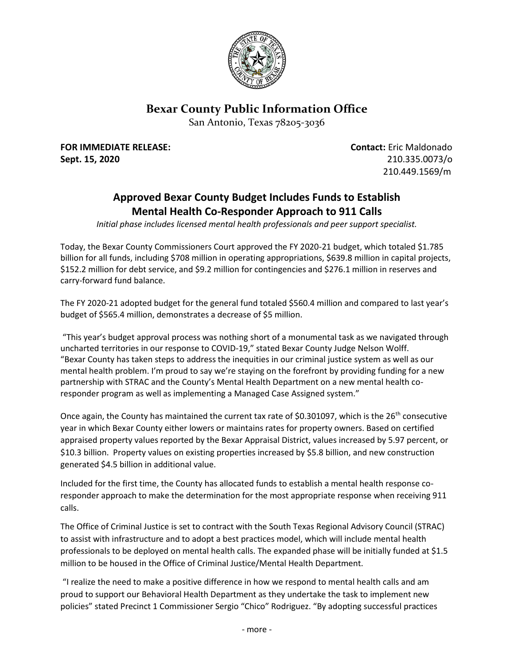

## **Bexar County Public Information Office**

San Antonio, Texas 78205-3036

**FOR IMMEDIATE RELEASE: Contact:** Eric Maldonado **Sept. 15, 2020** 210.335.0073/o

210.449.1569/m

## **Approved Bexar County Budget Includes Funds to Establish Mental Health Co-Responder Approach to 911 Calls**

*Initial phase includes licensed mental health professionals and peer support specialist.*

Today, the Bexar County Commissioners Court approved the FY 2020-21 budget, which totaled \$1.785 billion for all funds, including \$708 million in operating appropriations, \$639.8 million in capital projects, \$152.2 million for debt service, and \$9.2 million for contingencies and \$276.1 million in reserves and carry-forward fund balance.

The FY 2020-21 adopted budget for the general fund totaled \$560.4 million and compared to last year's budget of \$565.4 million, demonstrates a decrease of \$5 million.

"This year's budget approval process was nothing short of a monumental task as we navigated through uncharted territories in our response to COVID-19," stated Bexar County Judge Nelson Wolff. "Bexar County has taken steps to address the inequities in our criminal justice system as well as our mental health problem. I'm proud to say we're staying on the forefront by providing funding for a new partnership with STRAC and the County's Mental Health Department on a new mental health coresponder program as well as implementing a Managed Case Assigned system."

Once again, the County has maintained the current tax rate of \$0.301097, which is the 26<sup>th</sup> consecutive year in which Bexar County either lowers or maintains rates for property owners. Based on certified appraised property values reported by the Bexar Appraisal District, values increased by 5.97 percent, or \$10.3 billion. Property values on existing properties increased by \$5.8 billion, and new construction generated \$4.5 billion in additional value.

Included for the first time, the County has allocated funds to establish a mental health response coresponder approach to make the determination for the most appropriate response when receiving 911 calls.

The Office of Criminal Justice is set to contract with the South Texas Regional Advisory Council (STRAC) to assist with infrastructure and to adopt a best practices model, which will include mental health professionals to be deployed on mental health calls. The expanded phase will be initially funded at \$1.5 million to be housed in the Office of Criminal Justice/Mental Health Department.

"I realize the need to make a positive difference in how we respond to mental health calls and am proud to support our Behavioral Health Department as they undertake the task to implement new policies" stated Precinct 1 Commissioner Sergio "Chico" Rodriguez. "By adopting successful practices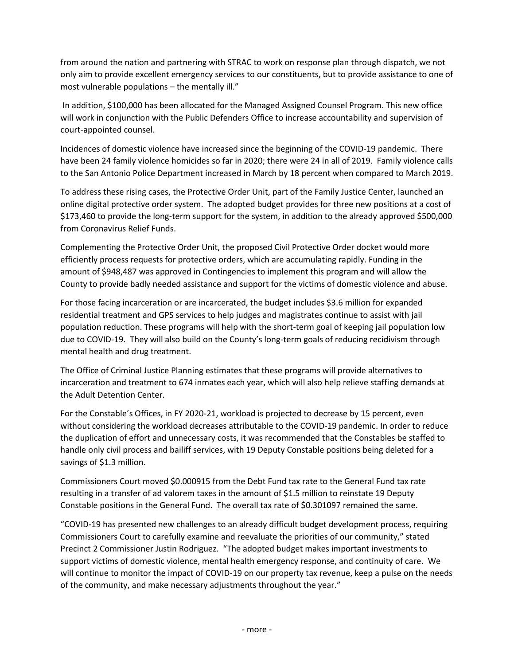from around the nation and partnering with STRAC to work on response plan through dispatch, we not only aim to provide excellent emergency services to our constituents, but to provide assistance to one of most vulnerable populations – the mentally ill."

In addition, \$100,000 has been allocated for the Managed Assigned Counsel Program. This new office will work in conjunction with the Public Defenders Office to increase accountability and supervision of court-appointed counsel.

Incidences of domestic violence have increased since the beginning of the COVID-19 pandemic. There have been 24 family violence homicides so far in 2020; there were 24 in all of 2019. Family violence calls to the San Antonio Police Department increased in March by 18 percent when compared to March 2019.

To address these rising cases, the Protective Order Unit, part of the Family Justice Center, launched an online digital protective order system. The adopted budget provides for three new positions at a cost of \$173,460 to provide the long-term support for the system, in addition to the already approved \$500,000 from Coronavirus Relief Funds.

Complementing the Protective Order Unit, the proposed Civil Protective Order docket would more efficiently process requests for protective orders, which are accumulating rapidly. Funding in the amount of \$948,487 was approved in Contingencies to implement this program and will allow the County to provide badly needed assistance and support for the victims of domestic violence and abuse.

For those facing incarceration or are incarcerated, the budget includes \$3.6 million for expanded residential treatment and GPS services to help judges and magistrates continue to assist with jail population reduction. These programs will help with the short-term goal of keeping jail population low due to COVID-19. They will also build on the County's long-term goals of reducing recidivism through mental health and drug treatment.

The Office of Criminal Justice Planning estimates that these programs will provide alternatives to incarceration and treatment to 674 inmates each year, which will also help relieve staffing demands at the Adult Detention Center.

For the Constable's Offices, in FY 2020-21, workload is projected to decrease by 15 percent, even without considering the workload decreases attributable to the COVID-19 pandemic. In order to reduce the duplication of effort and unnecessary costs, it was recommended that the Constables be staffed to handle only civil process and bailiff services, with 19 Deputy Constable positions being deleted for a savings of \$1.3 million.

Commissioners Court moved \$0.000915 from the Debt Fund tax rate to the General Fund tax rate resulting in a transfer of ad valorem taxes in the amount of \$1.5 million to reinstate 19 Deputy Constable positions in the General Fund. The overall tax rate of \$0.301097 remained the same.

"COVID-19 has presented new challenges to an already difficult budget development process, requiring Commissioners Court to carefully examine and reevaluate the priorities of our community," stated Precinct 2 Commissioner Justin Rodriguez. "The adopted budget makes important investments to support victims of domestic violence, mental health emergency response, and continuity of care. We will continue to monitor the impact of COVID-19 on our property tax revenue, keep a pulse on the needs of the community, and make necessary adjustments throughout the year."